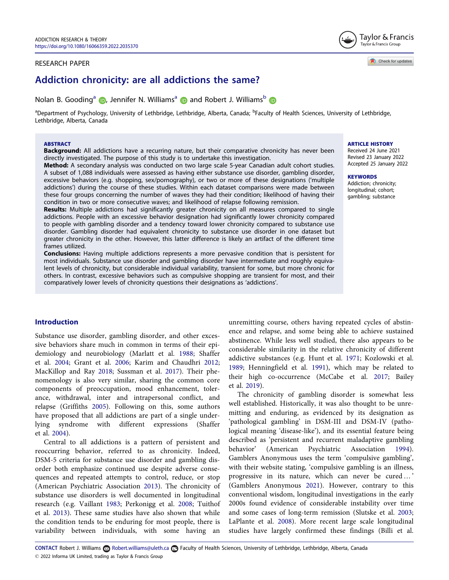## RESEARCH PAPER



Check for updates

# Addiction chronicity: are all addictions the same?

Nolan B. Gooding<sup>a</sup> (D, Jennifer N. Williams<sup>a</sup> (D and Robert J. Williams<sup>b</sup>

<sup>a</sup>Department of Psychology, University of Lethbridge, Lethbridge, Alberta, Canada; <sup>b</sup>Faculty of Health Sciences, University of Lethbridge, Lethbridge, Alberta, Canada

#### ABSTRACT

**Background:** All addictions have a recurring nature, but their comparative chronicity has never been directly investigated. The purpose of this study is to undertake this investigation.

Method: A secondary analysis was conducted on two large scale 5-year Canadian adult cohort studies. A subset of 1,088 individuals were assessed as having either substance use disorder, gambling disorder, excessive behaviors (e.g. shopping, sex/pornography), or two or more of these designations ('multiple addictions') during the course of these studies. Within each dataset comparisons were made between these four groups concerning the number of waves they had their condition; likelihood of having their condition in two or more consecutive waves; and likelihood of relapse following remission.

Results: Multiple addictions had significantly greater chronicity on all measures compared to single addictions. People with an excessive behavior designation had significantly lower chronicity compared to people with gambling disorder and a tendency toward lower chronicity compared to substance use disorder. Gambling disorder had equivalent chronicity to substance use disorder in one dataset but greater chronicity in the other. However, this latter difference is likely an artifact of the different time frames utilized.

Conclusions: Having multiple addictions represents a more pervasive condition that is persistent for most individuals. Substance use disorder and gambling disorder have intermediate and roughly equivalent levels of chronicity, but considerable individual variability, transient for some, but more chronic for others. In contrast, excessive behaviors such as compulsive shopping are transient for most, and their comparatively lower levels of chronicity questions their designations as 'addictions'.

## Introduction

Substance use disorder, gambling disorder, and other excessive behaviors share much in common in terms of their epidemiology and neurobiology (Marlatt et al. 1988; Shaffer et al. 2004; Grant et al. 2006; Karim and Chaudhri 2012; MacKillop and Ray 2018; Sussman et al. 2017). Their phenomenology is also very similar, sharing the common core components of preoccupation, mood enhancement, tolerance, withdrawal, inter and intrapersonal conflict, and relapse (Griffiths 2005). Following on this, some authors have proposed that all addictions are part of a single underlying syndrome with different expressions (Shaffer et al. 2004).

Central to all addictions is a pattern of persistent and reoccurring behavior, referred to as chronicity. Indeed, DSM-5 criteria for substance use disorder and gambling disorder both emphasize continued use despite adverse consequences and repeated attempts to control, reduce, or stop (American Psychiatric Association 2013). The chronicity of substance use disorders is well documented in longitudinal research (e.g. Vaillant 1983; Perkonigg et al. 2008; Tuithof et al. 2013). These same studies have also shown that while the condition tends to be enduring for most people, there is variability between individuals, with some having an

unremitting course, others having repeated cycles of abstinence and relapse, and some being able to achieve sustained abstinence. While less well studied, there also appears to be considerable similarity in the relative chronicity of different addictive substances (e.g. Hunt et al. 1971; Kozlowski et al. 1989; Henningfield et al. 1991), which may be related to their high co-occurrence (McCabe et al. 2017; Bailey et al. 2019).

The chronicity of gambling disorder is somewhat less well established. Historically, it was also thought to be unremitting and enduring, as evidenced by its designation as 'pathological gambling' in DSM-III and DSM-IV (pathological meaning 'disease-like'), and its essential feature being described as 'persistent and recurrent maladaptive gambling behavior' (American Psychiatric Association 1994). Gamblers Anonymous uses the term 'compulsive gambling', with their website stating, 'compulsive gambling is an illness, progressive in its nature, which can never be cured … ' (Gamblers Anonymous 2021). However, contrary to this conventional wisdom, longitudinal investigations in the early 2000s found evidence of considerable instability over time and some cases of long-term remission (Slutske et al. 2003; LaPlante et al. 2008). More recent large scale longitudinal studies have largely confirmed these findings (Billi et al.

CONTACT Robert J. Williams Robert.williams@uleth.ca Faculty of Health Sciences, University of Lethbridge, Lethbridge, Alberta, Canada 2022 Informa UK Limited, trading as Taylor & Francis Group

#### **ARTICLE HISTORY**

Received 24 June 2021 Revised 23 January 2022 Accepted 25 January 2022

## **KEYWORDS**

Addiction; chronicity; longitudinal; cohort; gambling; substance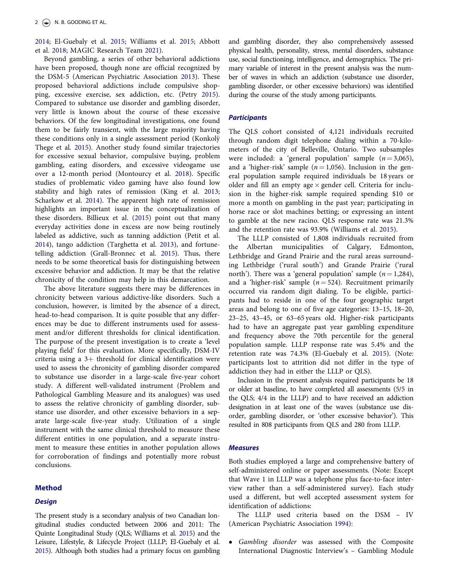2014; El-Guebaly et al. 2015; Williams et al. 2015; Abbott et al. 2018; MAGIC Research Team 2021).

Beyond gambling, a series of other behavioral addictions have been proposed, though none are official recognized by the DSM-5 (American Psychiatric Association 2013). These proposed behavioral addictions include compulsive shopping, excessive exercise, sex addiction, etc. (Petry 2015). Compared to substance use disorder and gambling disorder, very little is known about the course of these excessive behaviors. Of the few longitudinal investigations, one found them to be fairly transient, with the large majority having these conditions only in a single assessment period (Konkolÿ Thege et al. 2015). Another study found similar trajectories for excessive sexual behavior, compulsive buying, problem gambling, eating disorders, and excessive videogame use over a 12-month period (Montourcy et al. 2018). Specific studies of problematic video gaming have also found low stability and high rates of remission (King et al. 2013; Scharkow et al. 2014). The apparent high rate of remission highlights an important issue in the conceptualization of these disorders. Billieux et al. (2015) point out that many everyday activities done in excess are now being routinely labeled as addictive, such as tanning addiction (Petit et al. 2014), tango addiction (Targhetta et al. 2013), and fortunetelling addiction (Grall-Bronnec et al. 2015). Thus, there needs to be some theoretical basis for distinguishing between excessive behavior and addiction. It may be that the relative chronicity of the condition may help in this demarcation.

The above literature suggests there may be differences in chronicity between various addictive-like disorders. Such a conclusion, however, is limited by the absence of a direct, head-to-head comparison. It is quite possible that any differences may be due to different instruments used for assessment and/or different thresholds for clinical identification. The purpose of the present investigation is to create a 'level playing field' for this evaluation. More specifically, DSM-IV criteria using a  $3+$  threshold for clinical identification were used to assess the chronicity of gambling disorder compared to substance use disorder in a large-scale five-year cohort study. A different well-validated instrument (Problem and Pathological Gambling Measure and its analogues) was used to assess the relative chronicity of gambling disorder, substance use disorder, and other excessive behaviors in a separate large-scale five-year study. Utilization of a single instrument with the same clinical threshold to measure these different entities in one population, and a separate instrument to measure these entities in another population allows for corroboration of findings and potentially more robust conclusions.

## Method

## **Design**

The present study is a secondary analysis of two Canadian longitudinal studies conducted between 2006 and 2011: The Quinte Longitudinal Study (QLS; Williams et al. 2015) and the Leisure, Lifestyle, & Lifecycle Project (LLLP; El-Guebaly et al. 2015). Although both studies had a primary focus on gambling

and gambling disorder, they also comprehensively assessed physical health, personality, stress, mental disorders, substance use, social functioning, intelligence, and demographics. The primary variable of interest in the present analysis was the number of waves in which an addiction (substance use disorder, gambling disorder, or other excessive behaviors) was identified during the course of the study among participants.

#### **Participants**

The QLS cohort consisted of 4,121 individuals recruited through random digit telephone dialing within a 70-kilometers of the city of Belleville, Ontario. Two subsamples were included: a 'general population' sample  $(n = 3,065)$ , and a 'higher-risk' sample ( $n = 1,056$ ). Inclusion in the general population sample required individuals be 18 years or older and fill an empty age  $\times$  gender cell. Criteria for inclusion in the higher-risk sample required spending \$10 or more a month on gambling in the past year; participating in horse race or slot machines betting; or expressing an intent to gamble at the new racino. QLS response rate was 21.3% and the retention rate was 93.9% (Williams et al. 2015).

The LLLP consisted of 1,808 individuals recruited from the Albertan municipalities of Calgary, Edmonton, Lethbridge and Grand Prairie and the rural areas surrounding Lethbridge ('rural south') and Grande Prairie ('rural north'). There was a 'general population' sample  $(n = 1,284)$ , and a 'higher-risk' sample ( $n = 524$ ). Recruitment primarily occurred via random digit dialing. To be eligible, participants had to reside in one of the four geographic target areas and belong to one of five age categories: 13–15, 18–20, 23–25, 43–45, or 63–65 years old. Higher-risk participants had to have an aggregate past year gambling expenditure and frequency above the 70th percentile for the general population sample. LLLP response rate was 5.4% and the retention rate was 74.3% (El-Guebaly et al. 2015). (Note: participants lost to attrition did not differ in the type of addiction they had in either the LLLP or QLS).

Inclusion in the present analysis required participants be 18 or older at baseline, to have completed all assessments (5/5 in the QLS; 4/4 in the LLLP) and to have received an addiction designation in at least one of the waves (substance use disorder, gambling disorder, or 'other excessive behavior'). This resulted in 808 participants from QLS and 280 from LLLP.

#### Measures

Both studies employed a large and comprehensive battery of self-administered online or paper assessments. (Note: Except that Wave 1 in LLLP was a telephone plus face-to-face interview rather than a self-administered survey). Each study used a different, but well accepted assessment system for identification of addictions:

The LLLP used criteria based on the DSM – IV (American Psychiatric Association 1994):

 Gambling disorder was assessed with the Composite International Diagnostic Interview's – Gambling Module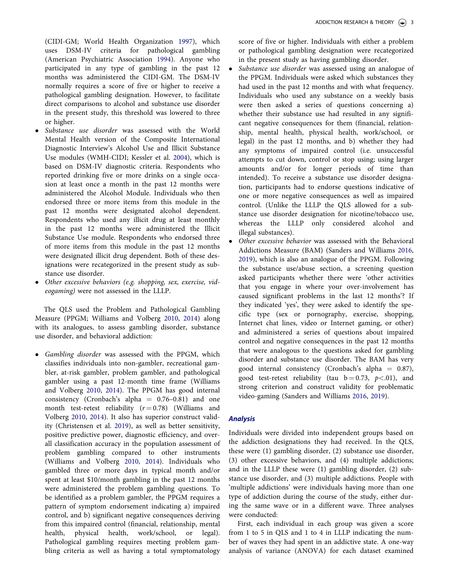(CIDI-GM; World Health Organization 1997), which uses DSM-IV criteria for pathological gambling (American Psychiatric Association 1994). Anyone who participated in any type of gambling in the past 12 months was administered the CIDI-GM. The DSM-IV normally requires a score of five or higher to receive a pathological gambling designation. However, to facilitate direct comparisons to alcohol and substance use disorder in the present study, this threshold was lowered to three or higher.

- Substance use disorder was assessed with the World Mental Health version of the Composite International Diagnostic Interview's Alcohol Use and Illicit Substance Use modules (WMH-CIDI; Kessler et al. 2004), which is based on DSM-IV diagnostic criteria. Respondents who reported drinking five or more drinks on a single occasion at least once a month in the past 12 months were administered the Alcohol Module. Individuals who then endorsed three or more items from this module in the past 12 months were designated alcohol dependent. Respondents who used any illicit drug at least monthly in the past 12 months were administered the Illicit Substance Use module. Respondents who endorsed three of more items from this module in the past 12 months were designated illicit drug dependent. Both of these designations were recategorized in the present study as substance use disorder.
- Other excessive behaviors (e.g. shopping, sex, exercise, videogaming) were not assessed in the LLLP.

The QLS used the Problem and Pathological Gambling Measure (PPGM; Williams and Volberg 2010, 2014) along with its analogues, to assess gambling disorder, substance use disorder, and behavioral addiction:

 Gambling disorder was assessed with the PPGM, which classifies individuals into non-gambler, recreational gambler, at-risk gambler, problem gambler, and pathological gambler using a past 12-month time frame (Williams and Volberg 2010, 2014). The PPGM has good internal consistency (Cronbach's alpha  $= 0.76-0.81$ ) and one month test-retest reliability  $(r=0.78)$  (Williams and Volberg 2010, 2014). It also has superior construct validity (Christensen et al. 2019), as well as better sensitivity, positive predictive power, diagnostic efficiency, and overall classification accuracy in the population assessment of problem gambling compared to other instruments (Williams and Volberg 2010, 2014). Individuals who gambled three or more days in typical month and/or spent at least \$10/month gambling in the past 12 months were administered the problem gambling questions. To be identified as a problem gambler, the PPGM requires a pattern of symptom endorsement indicating a) impaired control, and b) significant negative consequences deriving from this impaired control (financial, relationship, mental health, physical health, work/school, or legal). Pathological gambling requires meeting problem gambling criteria as well as having a total symptomatology

score of five or higher. Individuals with either a problem or pathological gambling designation were recategorized in the present study as having gambling disorder.

- Substance use disorder was assessed using an analogue of the PPGM. Individuals were asked which substances they had used in the past 12 months and with what frequency. Individuals who used any substance on a weekly basis were then asked a series of questions concerning a) whether their substance use had resulted in any significant negative consequences for them (financial, relationship, mental health, physical health, work/school, or legal) in the past 12 months, and b) whether they had any symptoms of impaired control (i.e. unsuccessful attempts to cut down, control or stop using; using larger amounts and/or for longer periods of time than intended). To receive a substance use disorder designation, participants had to endorse questions indicative of one or more negative consequences as well as impaired control. (Unlike the LLLP the QLS allowed for a substance use disorder designation for nicotine/tobacco use, whereas the LLLP only considered alcohol and illegal substances).
- Other excessive behavior was assessed with the Behavioral Addictions Measure (BAM) (Sanders and Williams 2016, 2019), which is also an analogue of the PPGM. Following the substance use/abuse section, a screening question asked participants whether there were 'other activities that you engage in where your over-involvement has caused significant problems in the last 12 months'? If they indicated 'yes', they were asked to identify the specific type (sex or pornography, exercise, shopping, Internet chat lines, video or Internet gaming, or other) and administered a series of questions about impaired control and negative consequences in the past 12 months that were analogous to the questions asked for gambling disorder and substance use disorder. The BAM has very good internal consistency (Cronbach's alpha  $= 0.87$ ), good test-retest reliability (tau  $b = 0.73$ ,  $p < .01$ ), and strong criterion and construct validity for problematic video-gaming (Sanders and Williams 2016, 2019).

# Analysis

Individuals were divided into independent groups based on the addiction designations they had received. In the QLS, these were (1) gambling disorder, (2) substance use disorder, (3) other excessive behaviors, and (4) multiple addictions; and in the LLLP these were (1) gambling disorder, (2) substance use disorder, and (3) multiple addictions. People with 'multiple addictions' were individuals having more than one type of addiction during the course of the study, either during the same wave or in a different wave. Three analyses were conducted:

First, each individual in each group was given a score from 1 to 5 in QLS and 1 to 4 in LLLP indicating the number of waves they had spent in an addictive state. A one-way analysis of variance (ANOVA) for each dataset examined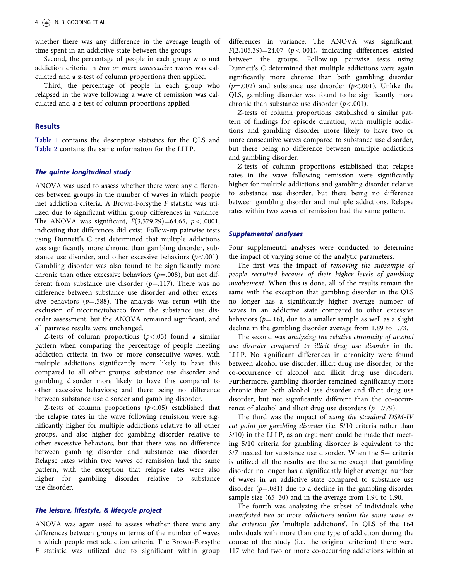whether there was any difference in the average length of time spent in an addictive state between the groups.

Second, the percentage of people in each group who met addiction criteria in two or more consecutive waves was calculated and a z-test of column proportions then applied.

Third, the percentage of people in each group who relapsed in the wave following a wave of remission was calculated and a z-test of column proportions applied.

## **Results**

Table 1 contains the descriptive statistics for the QLS and Table 2 contains the same information for the LLLP.

#### The quinte longitudinal study

ANOVA was used to assess whether there were any differences between groups in the number of waves in which people met addiction criteria. A Brown-Forsythe F statistic was utilized due to significant within group differences in variance. The ANOVA was significant,  $F(3,579.29) = 64.65, p < .0001,$ indicating that differences did exist. Follow-up pairwise tests using Dunnett's C test determined that multiple addictions was significantly more chronic than gambling disorder, substance use disorder, and other excessive behaviors  $(p<.001)$ . Gambling disorder was also found to be significantly more chronic than other excessive behaviors ( $p=0.008$ ), but not different from substance use disorder ( $p=117$ ). There was no difference between substance use disorder and other excessive behaviors ( $p=0.588$ ). The analysis was rerun with the exclusion of nicotine/tobacco from the substance use disorder assessment, but the ANOVA remained significant, and all pairwise results were unchanged.

Z-tests of column proportions  $(p<.05)$  found a similar pattern when comparing the percentage of people meeting addiction criteria in two or more consecutive waves, with multiple addictions significantly more likely to have this compared to all other groups; substance use disorder and gambling disorder more likely to have this compared to other excessive behaviors; and there being no difference between substance use disorder and gambling disorder.

Z-tests of column proportions  $(p<.05)$  established that the relapse rates in the wave following remission were significantly higher for multiple addictions relative to all other groups, and also higher for gambling disorder relative to other excessive behaviors, but that there was no difference between gambling disorder and substance use disorder. Relapse rates within two waves of remission had the same pattern, with the exception that relapse rates were also higher for gambling disorder relative to substance use disorder.

### The leisure, lifestyle, & lifecycle project

ANOVA was again used to assess whether there were any differences between groups in terms of the number of waves in which people met addiction criteria. The Brown-Forsythe F statistic was utilized due to significant within group

differences in variance. The ANOVA was significant,  $F(2,105.39)=24.07$  ( $p < .001$ ), indicating differences existed between the groups. Follow-up pairwise tests using Dunnett's C determined that multiple addictions were again significantly more chronic than both gambling disorder ( $p=0.002$ ) and substance use disorder ( $p<0.01$ ). Unlike the QLS, gambling disorder was found to be significantly more chronic than substance use disorder  $(p<.001)$ .

Z-tests of column proportions established a similar pattern of findings for episode duration, with multiple addictions and gambling disorder more likely to have two or more consecutive waves compared to substance use disorder, but there being no difference between multiple addictions and gambling disorder.

Z-tests of column proportions established that relapse rates in the wave following remission were significantly higher for multiple addictions and gambling disorder relative to substance use disorder, but there being no difference between gambling disorder and multiple addictions. Relapse rates within two waves of remission had the same pattern.

#### Supplemental analyses

Four supplemental analyses were conducted to determine the impact of varying some of the analytic parameters.

The first was the impact of removing the subsample of people recruited because of their higher levels of gambling involvement. When this is done, all of the results remain the same with the exception that gambling disorder in the QLS no longer has a significantly higher average number of waves in an addictive state compared to other excessive behaviors ( $p=16$ ), due to a smaller sample as well as a slight decline in the gambling disorder average from 1.89 to 1.73.

The second was analyzing the relative chronicity of alcohol use disorder compared to illicit drug use disorder in the LLLP. No significant differences in chronicity were found between alcohol use disorder, illicit drug use disorder, or the co-occurrence of alcohol and illicit drug use disorders. Furthermore, gambling disorder remained significantly more chronic than both alcohol use disorder and illicit drug use disorder, but not significantly different than the co-occurrence of alcohol and illicit drug use disorders  $(p=.779)$ .

The third was the impact of using the standard DSM-IV cut point for gambling disorder (i.e. 5/10 criteria rather than 3/10) in the LLLP, as an argument could be made that meeting 5/10 criteria for gambling disorder is equivalent to the  $3/7$  needed for substance use disorder. When the  $5+$  criteria is utilized all the results are the same except that gambling disorder no longer has a significantly higher average number of waves in an addictive state compared to substance use disorder ( $p=0.081$ ) due to a decline in the gambling disorder sample size (65–30) and in the average from 1.94 to 1.90.

The fourth was analyzing the subset of individuals who manifested two or more addictions within the same wave as the criterion for 'multiple addictions'. In QLS of the 164 individuals with more than one type of addiction during the course of the study (i.e. the original criterion) there were 117 who had two or more co-occurring addictions within at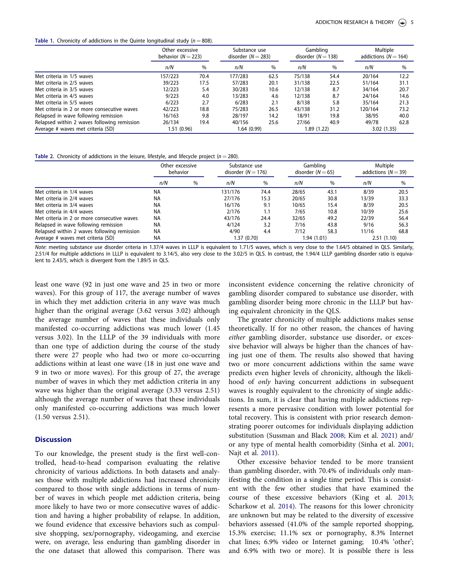Table 1. Chronicity of addictions in the Quinte longitudinal study ( $n = 808$ ).

|                                             | Other excessive<br>behavior $(N = 223)$ |      | Substance use<br>disorder $(N = 283)$ |      | Gambling<br>disorder $(N = 138)$ |      | Multiple<br>addictions ( $N = 164$ ) |      |
|---------------------------------------------|-----------------------------------------|------|---------------------------------------|------|----------------------------------|------|--------------------------------------|------|
|                                             | n/N                                     | $\%$ | n/N                                   | %    | n/N                              | %    | n/N                                  | %    |
| Met criteria in 1/5 waves                   | 157/223                                 | 70.4 | 177/283                               | 62.5 | 75/138                           | 54.4 | 20/164                               | 12.2 |
| Met criteria in 2/5 waves                   | 39/223                                  | 17.5 | 57/283                                | 20.1 | 31/138                           | 22.5 | 51/164                               | 31.1 |
| Met criteria in 3/5 waves                   | 12/223                                  | 5.4  | 30/283                                | 10.6 | 12/138                           | 8.7  | 34/164                               | 20.7 |
| Met criteria in 4/5 waves                   | 9/223                                   | 4.0  | 13/283                                | 4.6  | 12/138                           | 8.7  | 24/164                               | 14.6 |
| Met criteria in 5/5 waves                   | 6/223                                   | 2.7  | 6/283                                 | 2.1  | 8/138                            | 5.8  | 35/164                               | 21.3 |
| Met criteria in 2 or more consecutive waves | 42/223                                  | 18.8 | 75/283                                | 26.5 | 43/138                           | 31.2 | 120/164                              | 73.2 |
| Relapsed in wave following remission        | 16/163                                  | 9.8  | 28/197                                | 14.2 | 18/91                            | 19.8 | 38/95                                | 40.0 |
| Relapsed within 2 waves following remission | 26/134                                  | 19.4 | 40/156                                | 25.6 | 27/66                            | 40.9 | 49/78                                | 62.8 |
| Average # waves met criteria (SD)           | 1.51 (0.96)                             |      | 1.64 (0.99)                           |      | 1.89 (1.22)                      |      | 3.02(1.35)                           |      |

|  | Table 2. Chronicity of addictions in the leisure, lifestyle, and lifecycle project ( $n = 280$ ). |  |  |  |  |  |
|--|---------------------------------------------------------------------------------------------------|--|--|--|--|--|
|  |                                                                                                   |  |  |  |  |  |

|                                             | Other excessive<br>behavior |   | Substance use<br>disorder $(N = 176)$ |             | Gambling<br>disorder $(N=65)$ |             | Multiple<br>addictions ( $N = 39$ ) |            |  |
|---------------------------------------------|-----------------------------|---|---------------------------------------|-------------|-------------------------------|-------------|-------------------------------------|------------|--|
|                                             | n/N                         | % | n/N                                   | %           | n/N                           | %           | n/N                                 | %          |  |
| Met criteria in 1/4 waves                   | <b>NA</b>                   |   | 131/176                               | 74.4        | 28/65                         | 43.1        | 8/39                                | 20.5       |  |
| Met criteria in 2/4 waves                   | NA                          |   | 27/176                                | 15.3        | 20/65                         | 30.8        | 13/39                               | 33.3       |  |
| Met criteria in 3/4 waves                   | NA                          |   | 16/176                                | 9.1         | 10/65                         | 15.4        | 8/39                                | 20.5       |  |
| Met criteria in 4/4 waves                   | NA                          |   | 2/176                                 | 1.1         | 7/65                          | 10.8        | 10/39                               | 25.6       |  |
| Met criteria in 2 or more consecutive waves | NA                          |   | 43/176                                | 24.4        | 32/65                         | 49.2        | 22/39                               | 56.4       |  |
| Relapsed in wave following remission        | NA                          |   | 4/124                                 | 3.2         | 7/16                          | 43.8        | 9/16                                | 56.3       |  |
| Relapsed within 2 waves following remission | <b>NA</b>                   |   | 4/90                                  | 4.4         | 7/12                          | 58.3        | 11/16                               | 68.8       |  |
| Average # waves met criteria (SD)           | NA                          |   |                                       | 1.37 (0.70) |                               | 1.94 (1.01) |                                     | 2.51(1.10) |  |

Note: meeting substance use disorder criteria in 1.37/4 waves in LLLP is equivalent to 1.71/5 waves, which is very close to the 1.64/5 obtained in QLS. Similarly, 2.51/4 for multiple addictions in LLLP is equivalent to 3.14/5, also very close to the 3.02/5 in QLS. In contrast, the 1.94/4 LLLP gambling disorder ratio is equivalent to 2.43/5, which is divergent from the 1.89/5 in QLS.

least one wave (92 in just one wave and 25 in two or more waves). For this group of 117, the average number of waves in which they met addiction criteria in any wave was much higher than the original average (3.62 versus 3.02) although the average number of waves that these individuals only manifested co-occurring addictions was much lower (1.45 versus 3.02). In the LLLP of the 39 individuals with more than one type of addiction during the course of the study there were 27 people who had two or more co-occurring addictions within at least one wave (18 in just one wave and 9 in two or more waves). For this group of 27, the average number of waves in which they met addiction criteria in any wave was higher than the original average (3.33 versus 2.51) although the average number of waves that these individuals only manifested co-occurring addictions was much lower (1.50 versus 2.51).

## **Discussion**

To our knowledge, the present study is the first well-controlled, head-to-head comparison evaluating the relative chronicity of various addictions. In both datasets and analyses those with multiple addictions had increased chronicity compared to those with single addictions in terms of number of waves in which people met addiction criteria, being more likely to have two or more consecutive waves of addiction and having a higher probability of relapse. In addition, we found evidence that excessive behaviors such as compulsive shopping, sex/pornography, videogaming, and exercise were, on average, less enduring than gambling disorder in the one dataset that allowed this comparison. There was inconsistent evidence concerning the relative chronicity of gambling disorder compared to substance use disorder, with gambling disorder being more chronic in the LLLP but having equivalent chronicity in the QLS.

The greater chronicity of multiple addictions makes sense theoretically. If for no other reason, the chances of having either gambling disorder, substance use disorder, or excessive behavior will always be higher than the chances of having just one of them. The results also showed that having two or more concurrent addictions within the same wave predicts even higher levels of chronicity, although the likelihood of only having concurrent addictions in subsequent waves is roughly equivalent to the chronicity of single addictions. In sum, it is clear that having multiple addictions represents a more pervasive condition with lower potential for total recovery. This is consistent with prior research demonstrating poorer outcomes for individuals displaying addiction substitution (Sussman and Black 2008; Kim et al. 2021) and/ or any type of mental health comorbidity (Sinha et al. 2001; Najt et al. 2011).

Other excessive behavior tended to be more transient than gambling disorder, with 70.4% of individuals only manifesting the condition in a single time period. This is consistent with the few other studies that have examined the course of these excessive behaviors (King et al. 2013; Scharkow et al. 2014). The reasons for this lower chronicity are unknown but may be related to the diversity of excessive behaviors assessed (41.0% of the sample reported shopping, 15.3% exercise; 11.1% sex or pornography, 8.3% Internet chat lines; 6.9% video or Internet gaming; 10.4% 'other'; and 6.9% with two or more). It is possible there is less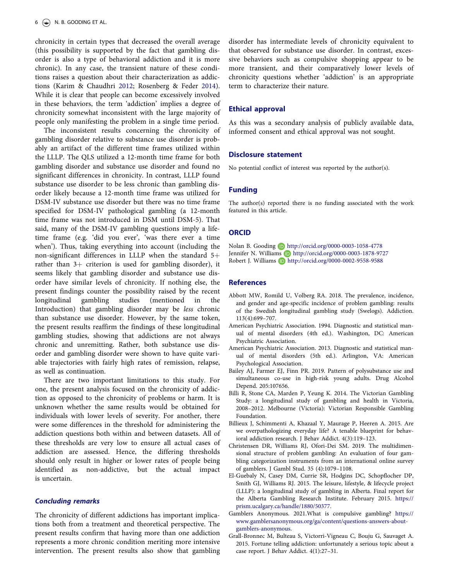chronicity in certain types that decreased the overall average (this possibility is supported by the fact that gambling disorder is also a type of behavioral addiction and it is more chronic). In any case, the transient nature of these conditions raises a question about their characterization as addictions (Karim & Chaudhri 2012; Rosenberg & Feder 2014). While it is clear that people can become excessively involved in these behaviors, the term 'addiction' implies a degree of chronicity somewhat inconsistent with the large majority of people only manifesting the problem in a single time period.

The inconsistent results concerning the chronicity of gambling disorder relative to substance use disorder is probably an artifact of the different time frames utilized within the LLLP. The QLS utilized a 12-month time frame for both gambling disorder and substance use disorder and found no significant differences in chronicity. In contrast, LLLP found substance use disorder to be less chronic than gambling disorder likely because a 12-month time frame was utilized for DSM-IV substance use disorder but there was no time frame specified for DSM-IV pathological gambling (a 12-month time frame was not introduced in DSM until DSM-5). That said, many of the DSM-IV gambling questions imply a lifetime frame (e.g. 'did you ever', 'was there ever a time when'). Thus, taking everything into account (including the non-significant differences in LLLP when the standard  $5+$ rather than  $3+$  criterion is used for gambling disorder), it seems likely that gambling disorder and substance use disorder have similar levels of chronicity. If nothing else, the present findings counter the possibility raised by the recent longitudinal gambling studies (mentioned in the Introduction) that gambling disorder may be less chronic than substance use disorder. However, by the same token, the present results reaffirm the findings of these longitudinal gambling studies, showing that addictions are not always chronic and unremitting. Rather, both substance use disorder and gambling disorder were shown to have quite variable trajectories with fairly high rates of remission, relapse, as well as continuation.

There are two important limitations to this study. For one, the present analysis focused on the chronicity of addiction as opposed to the chronicity of problems or harm. It is unknown whether the same results would be obtained for individuals with lower levels of severity. For another, there were some differences in the threshold for administering the addiction questions both within and between datasets. All of these thresholds are very low to ensure all actual cases of addiction are assessed. Hence, the differing thresholds should only result in higher or lower rates of people being identified as non-addictive, but the actual impact is uncertain.

### Concluding remarks

The chronicity of different addictions has important implications both from a treatment and theoretical perspective. The present results confirm that having more than one addiction represents a more chronic condition meriting more intensive intervention. The present results also show that gambling disorder has intermediate levels of chronicity equivalent to that observed for substance use disorder. In contrast, excessive behaviors such as compulsive shopping appear to be more transient, and their comparatively lower levels of chronicity questions whether 'addiction' is an appropriate term to characterize their nature.

## Ethical approval

As this was a secondary analysis of publicly available data, informed consent and ethical approval was not sought.

#### Disclosure statement

No potential conflict of interest was reported by the author(s).

## Funding

The author(s) reported there is no funding associated with the work featured in this article.

#### **ORCID**

Nolan B. Gooding **b** http://orcid.org/0000-0003-1058-4778 Jennifer N. Williams Dhttp://orcid.org/0000-0003-1878-9727 Robert J. Williams **b** http://orcid.org/0000-0002-9558-9588

#### References

- Abbott MW, Romild U, Volberg RA. 2018. The prevalence, incidence, and gender and age-specific incidence of problem gambling: results of the Swedish longitudinal gambling study (Swelogs). Addiction. 113(4):699–707.
- American Psychiatric Association. 1994. Diagnostic and statistical manual of mental disorders (4th ed.). Washington, DC: American Psychiatric Association.
- American Psychiatric Association. 2013. Diagnostic and statistical manual of mental disorders (5th ed.). Arlington, VA: American Psychological Association.
- Bailey AJ, Farmer EJ, Finn PR. 2019. Pattern of polysubstance use and simultaneous co-use in high-risk young adults. Drug Alcohol Depend. 205:107656.
- Billi R, Stone CA, Marden P, Yeung K. 2014. The Victorian Gambling Study: a longitudinal study of gambling and health in Victoria, 2008–2012. Melbourne (Victoria): Victorian Responsible Gambling Foundation.
- Billieux J, Schimmenti A, Khazaal Y, Maurage P, Heeren A. 2015. Are we overpathologizing everyday life? A tenable blueprint for behavioral addiction research. J Behav Addict. 4(3):119–123.
- Christensen DR, Williams RJ, Ofori-Dei SM. 2019. The multidimensional structure of problem gambling: An evaluation of four gambling categorization instruments from an international online survey of gamblers. J Gambl Stud. 35 (4):1079–1108.
- El-Guebaly N, Casey DM, Currie SR, Hodgins DC, Schopflocher DP, Smith GJ, Williams RJ. 2015. The leisure, lifestyle, & lifecycle project (LLLP): a longitudinal study of gambling in Alberta. Final report for the Alberta Gambling Research Institute. February 2015. https:// prism.ucalgary.ca/handle/1880/50377.
- Gamblers Anonymous. 2021.What is compulsive gambling? https:// www.gamblersanonymous.org/ga/content/questions-answers-aboutgamblers-anonymous.
- Grall-Bronnec M, Bulteau S, Victorri-Vigneau C, Bouju G, Sauvaget A. 2015. Fortune telling addiction: unfortunately a serious topic about a case report. J Behav Addict. 4(1):27–31.